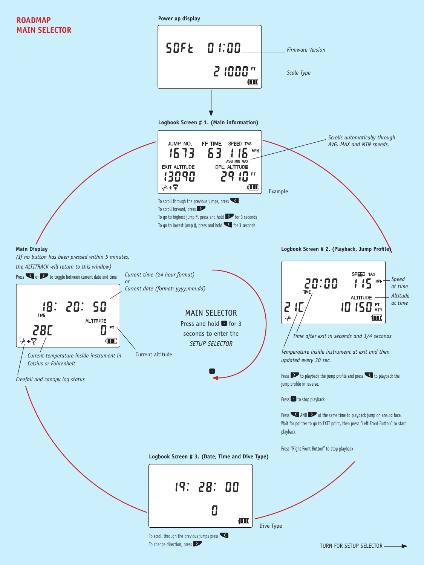